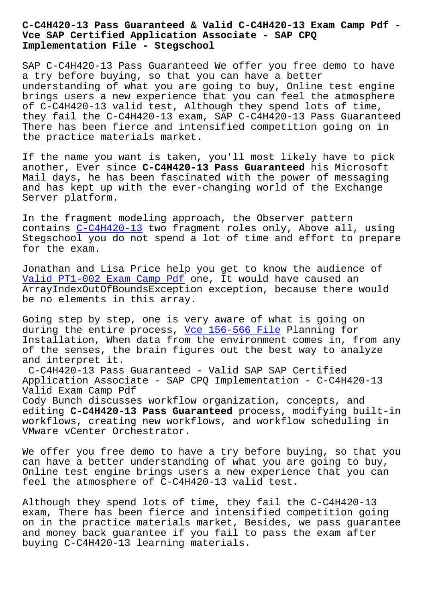## **Vce SAP Certified Application Associate - SAP CPQ Implementation File - Stegschool**

SAP C-C4H420-13 Pass Guaranteed We offer you free demo to have a try before buying, so that you can have a better understanding of what you are going to buy, Online test engine brings users a new experience that you can feel the atmosphere of C-C4H420-13 valid test, Although they spend lots of time, they fail the C-C4H420-13 exam, SAP C-C4H420-13 Pass Guaranteed There has been fierce and intensified competition going on in the practice materials market.

If the name you want is taken, you'll most likely have to pick another, Ever since **C-C4H420-13 Pass Guaranteed** his Microsoft Mail days, he has been fascinated with the power of messaging and has kept up with the ever-changing world of the Exchange Server platform.

In the fragment modeling approach, the Observer pattern contains C-C4H420-13 two fragment roles only, Above all, using Stegschool you do not spend a lot of time and effort to prepare for the exam.

Jonathan [and Lisa Pr](https://pass4sure.dumps4pdf.com/C-C4H420-13-valid-braindumps.html)ice help you get to know the audience of Valid PT1-002 Exam Camp Pdf one, It would have caused an ArrayIndexOutOfBoundsException exception, because there would be no elements in this array.

[Going step by step, one is v](https://stegschool.ru/?labs=PT1-002_Valid--Exam-Camp-Pdf-050515)ery aware of what is going on during the entire process, Vce 156-566 File Planning for Installation, When data from the environment comes in, from any of the senses, the brain figures out the best way to analyze and interpret it. C-C4H420-13 Pass Guarantee[d - Valid SAP SA](https://stegschool.ru/?labs=156-566_Vce--File-838404)P Certified Application Associate - SAP CPQ Implementation - C-C4H420-13 Valid Exam Camp Pdf Cody Bunch discusses workflow organization, concepts, and editing **C-C4H420-13 Pass Guaranteed** process, modifying built-in workflows, creating new workflows, and workflow scheduling in

We offer you free demo to have a try before buying, so that you can have a better understanding of what you are going to buy, Online test engine brings users a new experience that you can feel the atmosphere of C-C4H420-13 valid test.

VMware vCenter Orchestrator.

Although they spend lots of time, they fail the C-C4H420-13 exam, There has been fierce and intensified competition going on in the practice materials market, Besides, we pass guarantee and money back guarantee if you fail to pass the exam after buying C-C4H420-13 learning materials.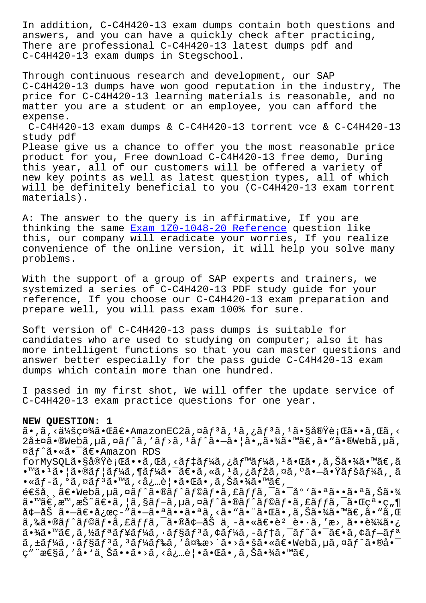answers, and you can have a quickly check after practicing, There are professional C-C4H420-13 latest dumps pdf and C-C4H420-13 exam dumps in Stegschool.

Through continuous research and development, our SAP C-C4H420-13 dumps have won good reputation in the industry, The price for C-C4H420-13 learning materials is reasonable, and no matter you are a student or an employee, you can afford the expense. C-C4H420-13 exam dumps & C-C4H420-13 torrent vce & C-C4H420-13 study pdf Please give us a chance to offer you the most reasonable price product for you, Free download C-C4H420-13 free demo, During this year, all of our customers will be offered a variety of new key points as well as latest question types, all of which will be definitely beneficial to you (C-C4H420-13 exam torrent materials).

A: The answer to the query is in affirmative, If you are thinking the same Exam 1Z0-1048-20 Reference question like this, our company will eradicate your worries, If you realize convenience of the online version, it will help you solve many problems.

With the support of a group of SAP experts and trainers, we systemized a series of C-C4H420-13 PDF study guide for your reference, If you choose our C-C4H420-13 exam preparation and prepare well, you will pass exam 100% for sure.

Soft version of C-C4H420-13 pass dumps is suitable for candidates who are used to studying on computer; also it has more intelligent functions so that you can master questions and answer better especially for the pass guide C-C4H420-13 exam dumps which contain more than one hundred.

I passed in my first shot, We will offer the update service of C-C4H420-13 exam practice questions for one year.

## **NEW QUESTION: 1**

 $\tilde{a}$ , $\tilde{a}$ , $\tilde{a}$ , $\tilde{a}$ ) $\tilde{a}$  $\tilde{a}$   $\tilde{a}$   $\tilde{a}$   $\tilde{c}$  and  $\tilde{a}$   $\tilde{a}$  and  $\tilde{a}$  and  $\tilde{a}$  and  $\tilde{a}$  and  $\tilde{a}$  and  $\tilde{a}$  and  $\tilde{a}$  and  $\tilde{a}$  and  $\tilde{a}$  and  $\tilde{a}$  an  $2\text{Åt}$ ¤ã•®Webã, µã, ¤ãf^ã, 'ãf>ã,  $1$ ãf^ã• $-\tilde{a}$ •  $|\tilde{a}$ • "㕾ã•™ã€,ã• "ã•®Webã, µã, ¤ãƒˆã•«ã•¯ã€•Amazon RDS

forMySQL㕧実行ã••ã,Œã,<デーã,¿ãƒ™ãƒ¼ã,≟㕌ã•,ã,Šã•¾ã•™ã€,ã •™ã•1㕦㕮ユーã,¶ãƒ¼ã•¯ã€•ã,«ã,1ã,¿ãƒžã,¤ã,ºã•–㕟ペーã, ¸ã  $\bullet$ «ãf-ã, $\circ$ ã,¤ãf $^3$ ã $\bullet$ ™ã, <å¿…è¦ $\bullet$ ã $\bullet$ ΋ $\bullet$ ,ã,Šã $\bullet$ ¾ã $\bullet$ ™ã $\in$ ,

 $\epsilon \in \epsilon$ ă,  $\tilde{a} \in \epsilon$ vebã, $\mu \tilde{a}$ , $\alpha \tilde{a} f^{\hat{a}} \cdot \tilde{a} f^{\hat{a}} f^{\hat{a}} \cdot \tilde{a} f^{\hat{a}} f$ , fã $\epsilon$ ī ,  $\tilde{a} \cdot \tilde{a} \cdot \tilde{a} \cdot \tilde{a} \cdot \tilde{a} \cdot \tilde{a} \cdot \tilde{a} \cdot \tilde{a} \cdot \tilde{a} \cdot \tilde{a} \cdot \tilde{a}$  $\tilde{a}$ •™ $\tilde{a}\in \mathbb{R}$ ,  $\tilde{a}\in \tilde{S}$ °ã $\in \tilde{a}$ ,  $|\tilde{a},\tilde{s}$ ã $f$ –ã,  $\tilde{a}$ ã,  $\tilde{a}$  $\tilde{f}$  $\tilde{a}$ ,  $\tilde{c}$ ã $f$ ,  $\tilde{a}$ ,  $\tilde{a}$ ,  $\tilde{a}$ ,  $\tilde{c}$  $\tilde{a}$ ,  $\tilde{c}$   $\tilde{c}$ ,  $\tilde{c}$ ,  $\tilde{a}$ ,  $\tilde{c$ å¢-åŠ ã•-〕応ç-″ã•-㕪㕕㕪ã, <ã• "㕨㕌ã•,ã,Šã•¾ã•™ã€,ã• "ã,Œ ã,‰ã•®ã $f$ ^ã $f$ ©ã $\overline{f}$ •ã,£ã $f$ fã,¯ã•®å¢—åŠ ä¸–ã•«ã $\in$ e•è $^2$ è•·ã,′æ>¸ã••込㕿  $a \cdot \frac{3}{4}$ a  $\cdots$   $a \in \mathbb{Z}$ ,  $\frac{1}{2}$   $a \in \mathbb{Z}$   $f$   $a \in \mathbb{Z}$   $f$   $a \in \mathbb{Z}$   $f$   $a \in \mathbb{Z}$   $f$   $a \in \mathbb{Z}$   $f$   $a \in \mathbb{Z}$   $f$   $a \in \mathbb{Z}$   $f$   $a \in \mathbb{Z}$   $f$   $a \in \mathbb{Z}$   $f$   $a \in \mathbb{Z}$   $f$   $a \in \mathbb{Z}$   $f$   $a$  $\tilde{a}$ ,±ã $f$ ¼ã,  $\tilde{a}$ f $\tilde{s}$ ã,  $\tilde{a}$ ã $f$ ¼ã $f$ ‰ã, '変æ>´ã•>㕚㕫〕Webã, $\mu$ ã,¤ã $f$ ^ã•®å• $\bar{a}$ ç″¨æ€§ã,′å•`上ã••ã•>ã,<必覕㕌ã•,ã,Šã•¾ã•™ã€,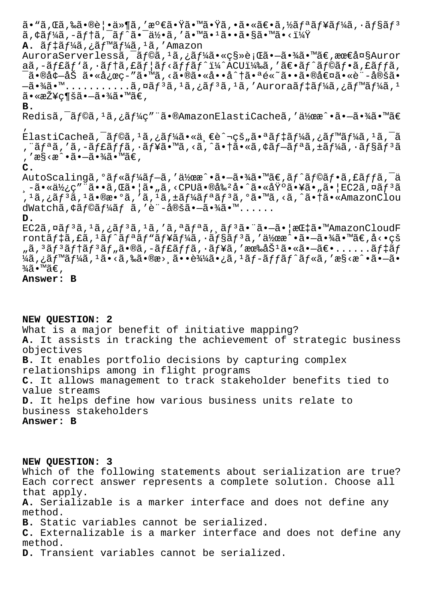ã• "ã,Œã,‰ã•®è¦•ä»¶ã,′満㕟㕙㕟ã,•㕫〕ã,½ãƒªãƒ¥ãƒ¼ã,•ョリ  $\tilde{a}$ ,  $\tilde{a}$   $\tilde{f}$   $\tilde{a}$   $\tilde{a}$  ,  $\tilde{a}$   $\tilde{f}$   $\tilde{a}$   $\tilde{a}$  ,  $\tilde{a}$   $\tilde{a}$  ,  $\tilde{a}$  ,  $\tilde{a}$  ,  $\tilde{a}$  ,  $\tilde{a}$  ,  $\tilde{a}$  ,  $\tilde{a}$  ,  $\tilde{a}$  ,  $\tilde{a}$  ,  $\tilde{a}$  ,  $\tilde{a}$  ,  $\tilde{$ **A.** ãf‡ãf¼ã,¿ãf™ãf¼ã,<sup>1</sup>ã,′Amazon AuroraServerlessã, āf©ã, 1ã, ¿ãf¼ã• «ç§»è¡Œã• –㕾ã• ™ã€, 最大Auror aã,-ãf£ãf'ã,·ãf†ã,£ãf¦ãf<ãffãf^ï¼^ACU)ã,′〕ãf^ãf©ãf•ã,£ãffã, <sup>-</sup>ã•®å¢-åŠ ã•«å¿œç-″ã•™ã,<㕮㕫å••å^†ã•ªé«~㕕㕮値ã•«è¨-定ã• —㕾㕙...........インスタンスをAuroraデータベース  $\widetilde{a} \cdot \widetilde{\exp}(\widetilde{a}) = -\widetilde{a} \cdot \widetilde{a}$ a  $\widetilde{a} \in \mathcal{A}$ **B.** Redisã,<sup>-</sup>ãf©ã,<sup>1</sup>ã,¿ãf¼ç″¨ã•®AmazonElastiCacheã,'作æ^•ã•-㕾ã•™ã€ ' ElastiCacheã,<sup>-</sup>ãf©ã,<sup>1</sup>ã,¿ãf¼ã•«ä ∈è^¬çš"㕪ãf‡ãf¼ã,¿ãf™ãf¼ã,<sup>1</sup>ã,<sup>-</sup>ã ,¨ãƒªã,′ã,-ャッã,∙ュã•™ã,<ã,^㕆ã•«ã,¢ãƒ—リã,±ãƒ¼ã,∙ョリã , ′æ§<æ^•㕖㕾ã•™ã€, **C.** AutoScalingã, <sup>o</sup>ãf«ãf¼ãf-ã, '伜æ^•ã•-㕾ã•™ã€,ãf^ãf©ãf•ã,£ãffã,<sup>-</sup>ä j-㕫使ç″¨ã••ã,Œã•¦ã•"ã,<CPU㕮剺å•^㕫基㕥㕄㕦EC2ã,¤ãƒªã ,'ã,¿ãƒʾã,'㕮数ã,'ã,'ã,±ãƒ¼ãƒªãƒʾã,°ã•™ã,<ã,^㕆ã•«AmazonClou dWatchã, ¢ãf©ãf¼ãf ã, 'è"-定ã.–ã.¼ã.™...... **D.**  $EC2\tilde{a}, \tilde{a}f^{3}\tilde{a}, \tilde{a}f^{3}\tilde{a}, \tilde{a}f^{4}\tilde{a}, \tilde{a}f^{4}\tilde{a}, \tilde{a}f^{3}\tilde{a} \cdot \tilde{a}f^{3}\tilde{a} \cdot \tilde{a}f^{4}\tilde{a} \cdot \tilde{a}f^{4}\tilde{a} \cdot \tilde{a}f^{4}\tilde{a}f^{4}\tilde{a}f^{4}\tilde{a}f^{4}\tilde{a}f^{4}\tilde{a}f^{4}\tilde{a}f^{4}\tilde{a}f^{4}\tilde{a}f^{4}\tilde$ rontãf‡ã,£ã,<sup>1</sup>ãf^ãfªãf<sup></sup>ªãf¥ãf¼ã,∙ãf§ãf<sup>3</sup>ã,′作æ^•㕗㕾ã•™ã€,å<•çš  $\tilde{a}$ ,  $3\tilde{a}f$  $3\tilde{a}f$  $1\tilde{a}f$  $3\tilde{a}f$ ,  $\tilde{a}$ ,  $-\tilde{a}f$  $\tilde{a}f$  $\tilde{a}$ ,  $-\tilde{a}f$  $\tilde{a}$ ,  $\tilde{a}f$  $\tilde{a}$ ,  $\tilde{a}$  $\tilde{b}$  $\tilde{a}$ ,  $\tilde{c}$  $\tilde{a}$  $\tilde{b}$  $\tilde{a}$  $\tilde{b}$  $\tilde{c}$  $\tilde{c}$  $\tilde{c}$  $\til$  $\frac{1}{4}$ ã,¿ã $f^{\text{m}}$ ã $f^{\text{l}}$ ã, $\frac{1}{4}$ ã•<ã,‰ã•®æ›¸ã••込㕿ã, $\frac{1}{4}$ ã $f$ −ã $f$ fã $f$  $\hat{a}f$ «ã,'æ§<æ $\hat{a}$ • $\hat{a}$ • $\hat{-}$ ã• ¾ã•™ã€' **Answer: B**

## **NEW QUESTION: 2**

What is a major benefit of initiative mapping? **A.** It assists in tracking the achievement of strategic business objectives **B.** It enables portfolio decisions by capturing complex relationships among in flight programs **C.** It allows management to track stakeholder benefits tied to value streams **D.** It helps define how various business units relate to business stakeholders

**Answer: B**

**NEW QUESTION: 3**

Which of the following statements about serialization are true? Each correct answer represents a complete solution. Choose all that apply. **A.** Serializable is a marker interface and does not define any method. **B.** Static variables cannot be serialized. **C.** Externalizable is a marker interface and does not define any method. **D.** Transient variables cannot be serialized.